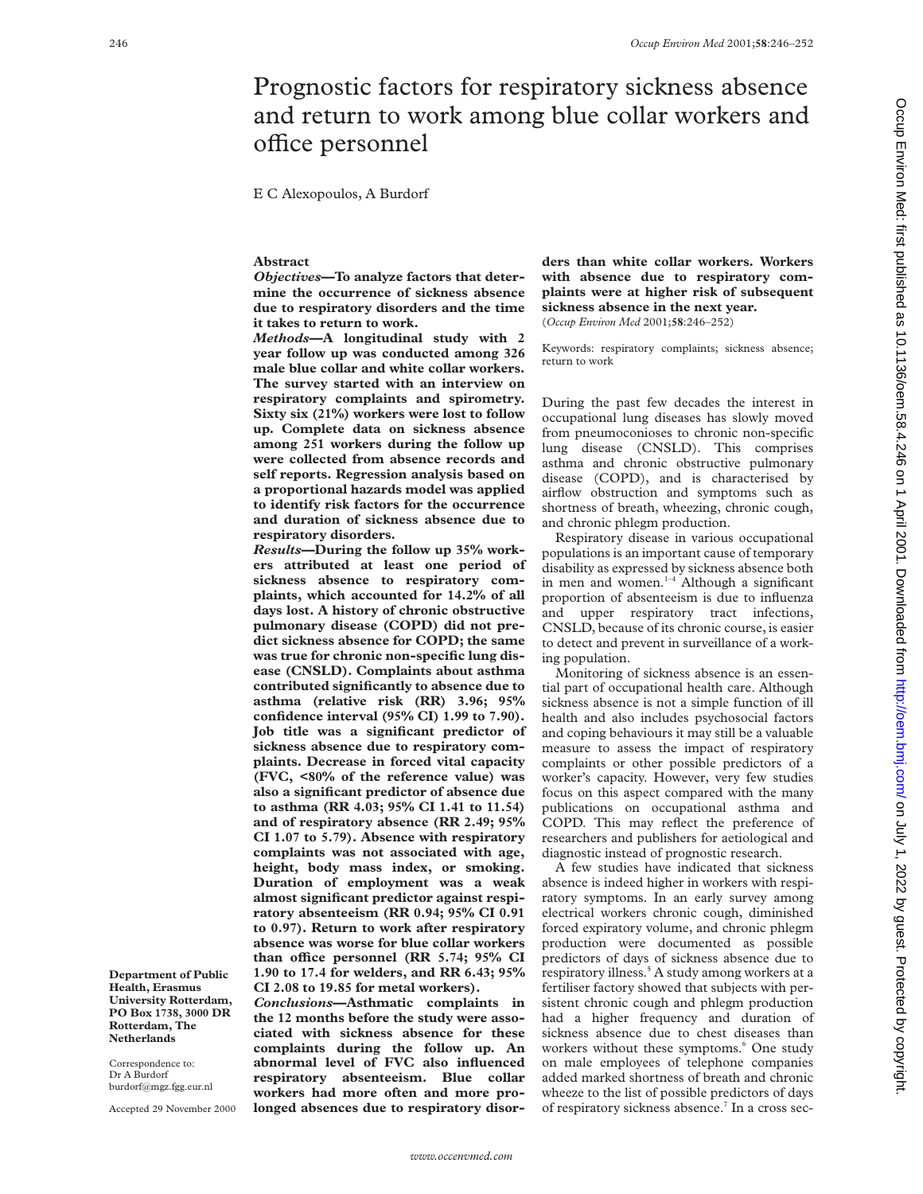# Prognostic factors for respiratory sickness absence and return to work among blue collar workers and office personnel

E C Alexopoulos, A Burdorf

## **Abstract**

*Objectives***—To analyze factors that determine the occurrence of sickness absence due to respiratory disorders and the time it takes to return to work.**

*Methods***—A longitudinal study with 2 year follow up was conducted among 326 male blue collar and white collar workers. The survey started with an interview on respiratory complaints and spirometry. Sixty six (21%) workers were lost to follow up. Complete data on sickness absence among 251 workers during the follow up were collected from absence records and self reports. Regression analysis based on a proportional hazards model was applied to identify risk factors for the occurrence and duration of sickness absence due to respiratory disorders.**

*Results***—During the follow up 35% workers attributed at least one period of sickness absence to respiratory complaints, which accounted for 14.2% of all days lost. A history of chronic obstructive pulmonary disease (COPD) did not predict sickness absence for COPD; the same was true for chronic non-specific lung disease (CNSLD). Complaints about asthma contributed significantly to absence due to asthma (relative risk (RR) 3.96; 95% confidence interval (95% CI) 1.99 to 7.90). Job title was a significant predictor of sickness absence due to respiratory complaints. Decrease in forced vital capacity (FVC, <80% of the reference value) was also a significant predictor of absence due to asthma (RR 4.03; 95% CI 1.41 to 11.54) and of respiratory absence (RR 2.49; 95% CI 1.07 to 5.79). Absence with respiratory complaints was not associated with age, height, body mass index, or smoking. Duration of employment was a weak almost significant predictor against respiratory absenteeism (RR 0.94; 95% CI 0.91 to 0.97). Return to work after respiratory absence was worse for blue collar workers than oYce personnel (RR 5.74; 95% CI 1.90 to 17.4 for welders, and RR 6.43; 95% CI 2.08 to 19.85 for metal workers).**

*Conclusions***—Asthmatic complaints in the 12 months before the study were associated with sickness absence for these complaints during the follow up. An abnormal level of FVC also influenced respiratory absenteeism. Blue collar workers had more often and more prolonged absences due to respiratory disor-** **ders than white collar workers. Workers with absence due to respiratory complaints were at higher risk of subsequent sickness absence in the next year.** (*Occup Environ Med* 2001;**58**:246–252)

Keywords: respiratory complaints; sickness absence;

return to work

During the past few decades the interest in occupational lung diseases has slowly moved from pneumoconioses to chronic non-specific lung disease (CNSLD). This comprises asthma and chronic obstructive pulmonary disease (COPD), and is characterised by airflow obstruction and symptoms such as shortness of breath, wheezing, chronic cough, and chronic phlegm production.

Respiratory disease in various occupational populations is an important cause of temporary disability as expressed by sickness absence both in men and women.<sup>1-4</sup> Although a significant proportion of absenteeism is due to influenza and upper respiratory tract infections, CNSLD, because of its chronic course, is easier to detect and prevent in surveillance of a working population.

Monitoring of sickness absence is an essential part of occupational health care. Although sickness absence is not a simple function of ill health and also includes psychosocial factors and coping behaviours it may still be a valuable measure to assess the impact of respiratory complaints or other possible predictors of a worker's capacity. However, very few studies focus on this aspect compared with the many publications on occupational asthma and COPD. This may reflect the preference of researchers and publishers for aetiological and diagnostic instead of prognostic research.

A few studies have indicated that sickness absence is indeed higher in workers with respiratory symptoms. In an early survey among electrical workers chronic cough, diminished forced expiratory volume, and chronic phlegm production were documented as possible predictors of days of sickness absence due to respiratory illness.<sup>5</sup> A study among workers at a fertiliser factory showed that subjects with persistent chronic cough and phlegm production had a higher frequency and duration of sickness absence due to chest diseases than workers without these symptoms.<sup>6</sup> One study on male employees of telephone companies added marked shortness of breath and chronic wheeze to the list of possible predictors of days of respiratory sickness absence.<sup>7</sup> In a cross secOccup Environ Med: first published as 10.1136/oem.58.4.246 on 1 April 2001. Downloaded from http://oem.bmj.com/ on July 1, 2022 by guest. Protected by copyright Occup Huly 1, 2022 by Guest. Protected by copyright. Published as 1, 240 on 1 4 April 2001. Downloaded from http://oem.published as 10.1136/or 10.2020 by Thirlished as 10.1136/oem.198.4.246 on 1 4 April 2001. Downloaded fr

**Department of Public Health, Erasmus University Rotterdam, PO Box 1738, 3000 DR Rotterdam, The Netherlands**

Correspondence to: Dr A Burdorf burdorf@mgz.fgg.eur.nl

Accepted 29 November 2000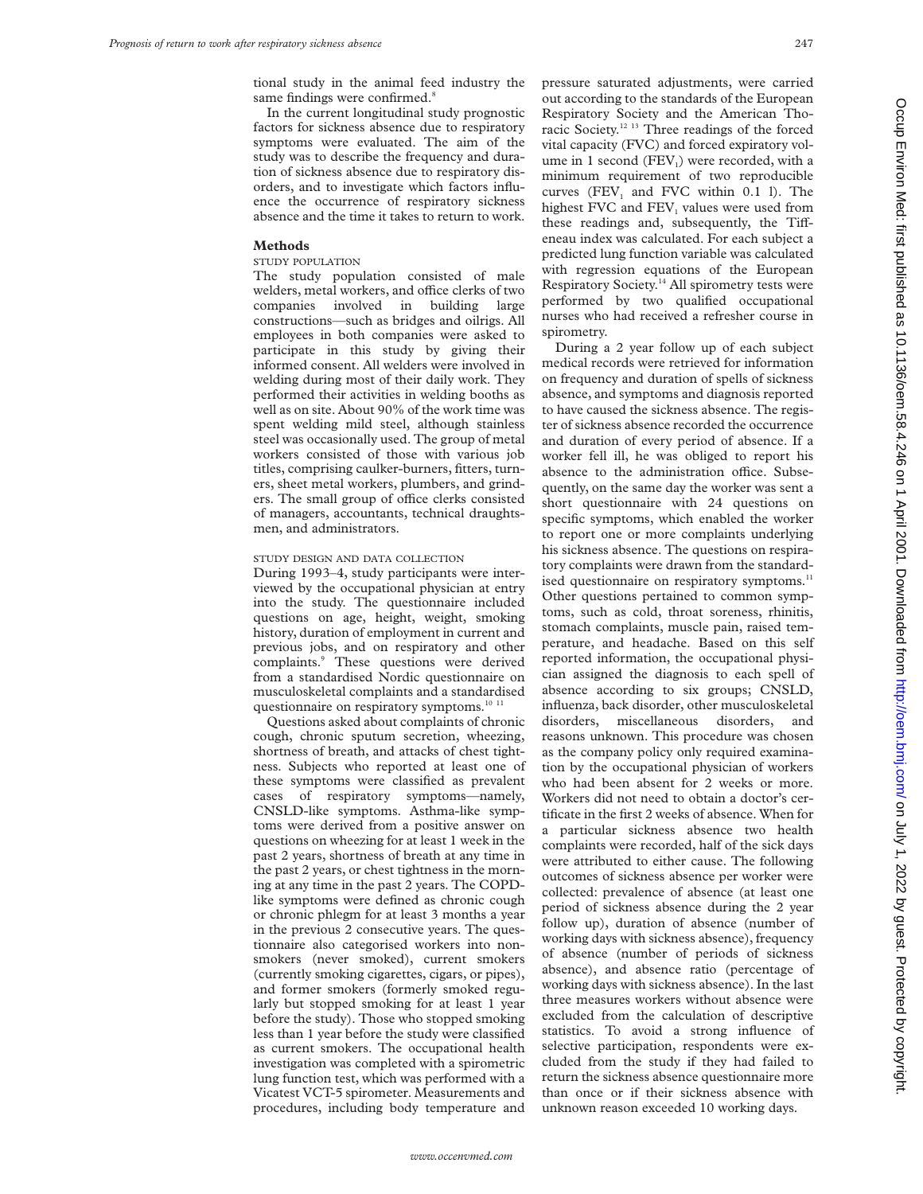tional study in the animal feed industry the same findings were confirmed.<sup>8</sup>

In the current longitudinal study prognostic factors for sickness absence due to respiratory symptoms were evaluated. The aim of the study was to describe the frequency and duration of sickness absence due to respiratory disorders, and to investigate which factors influence the occurrence of respiratory sickness absence and the time it takes to return to work.

### **Methods**

#### STUDY POPULATION

The study population consisted of male welders, metal workers, and office clerks of two companies involved in building large constructions—such as bridges and oilrigs. All employees in both companies were asked to participate in this study by giving their informed consent. All welders were involved in welding during most of their daily work. They performed their activities in welding booths as well as on site. About 90% of the work time was spent welding mild steel, although stainless steel was occasionally used. The group of metal workers consisted of those with various job titles, comprising caulker-burners, fitters, turners, sheet metal workers, plumbers, and grinders. The small group of office clerks consisted of managers, accountants, technical draughtsmen, and administrators.

#### STUDY DESIGN AND DATA COLLECTION

During 1993–4, study participants were interviewed by the occupational physician at entry into the study. The questionnaire included questions on age, height, weight, smoking history, duration of employment in current and previous jobs, and on respiratory and other complaints.<sup>9</sup> These questions were derived from a standardised Nordic questionnaire on musculoskeletal complaints and a standardised questionnaire on respiratory symptoms.<sup>10 11</sup>

Questions asked about complaints of chronic cough, chronic sputum secretion, wheezing, shortness of breath, and attacks of chest tightness. Subjects who reported at least one of these symptoms were classified as prevalent cases of respiratory symptoms—namely, CNSLD-like symptoms. Asthma-like symptoms were derived from a positive answer on questions on wheezing for at least 1 week in the past 2 years, shortness of breath at any time in the past 2 years, or chest tightness in the morning at any time in the past 2 years. The COPDlike symptoms were defined as chronic cough or chronic phlegm for at least 3 months a year in the previous 2 consecutive years. The questionnaire also categorised workers into nonsmokers (never smoked), current smokers (currently smoking cigarettes, cigars, or pipes), and former smokers (formerly smoked regularly but stopped smoking for at least 1 year before the study). Those who stopped smoking less than 1 year before the study were classified as current smokers. The occupational health investigation was completed with a spirometric lung function test, which was performed with a Vicatest VCT-5 spirometer. Measurements and procedures, including body temperature and

pressure saturated adjustments, were carried out according to the standards of the European Respiratory Society and the American Thoracic Society.12 13 Three readings of the forced vital capacity (FVC) and forced expiratory volume in 1 second  $(FEV_1)$  were recorded, with a minimum requirement of two reproducible curves  $(FEV_1$  and FVC within 0.1 l). The highest FVC and FEV<sub>1</sub> values were used from these readings and, subsequently, the Tiffeneau index was calculated. For each subject a predicted lung function variable was calculated with regression equations of the European Respiratory Society.<sup>14</sup> All spirometry tests were performed by two qualified occupational nurses who had received a refresher course in spirometry.

During a 2 year follow up of each subject medical records were retrieved for information on frequency and duration of spells of sickness absence, and symptoms and diagnosis reported to have caused the sickness absence. The register of sickness absence recorded the occurrence and duration of every period of absence. If a worker fell ill, he was obliged to report his absence to the administration office. Subsequently, on the same day the worker was sent a short questionnaire with 24 questions on specific symptoms, which enabled the worker to report one or more complaints underlying his sickness absence. The questions on respiratory complaints were drawn from the standardised questionnaire on respiratory symptoms.<sup>11</sup> Other questions pertained to common symptoms, such as cold, throat soreness, rhinitis, stomach complaints, muscle pain, raised temperature, and headache. Based on this self reported information, the occupational physician assigned the diagnosis to each spell of absence according to six groups; CNSLD, influenza, back disorder, other musculoskeletal disorders, miscellaneous disorders, and reasons unknown. This procedure was chosen as the company policy only required examination by the occupational physician of workers who had been absent for 2 weeks or more. Workers did not need to obtain a doctor's certificate in the first 2 weeks of absence. When for a particular sickness absence two health complaints were recorded, half of the sick days were attributed to either cause. The following outcomes of sickness absence per worker were collected: prevalence of absence (at least one period of sickness absence during the 2 year follow up), duration of absence (number of working days with sickness absence), frequency of absence (number of periods of sickness absence), and absence ratio (percentage of working days with sickness absence). In the last three measures workers without absence were excluded from the calculation of descriptive statistics. To avoid a strong influence of selective participation, respondents were excluded from the study if they had failed to return the sickness absence questionnaire more than once or if their sickness absence with unknown reason exceeded 10 working days.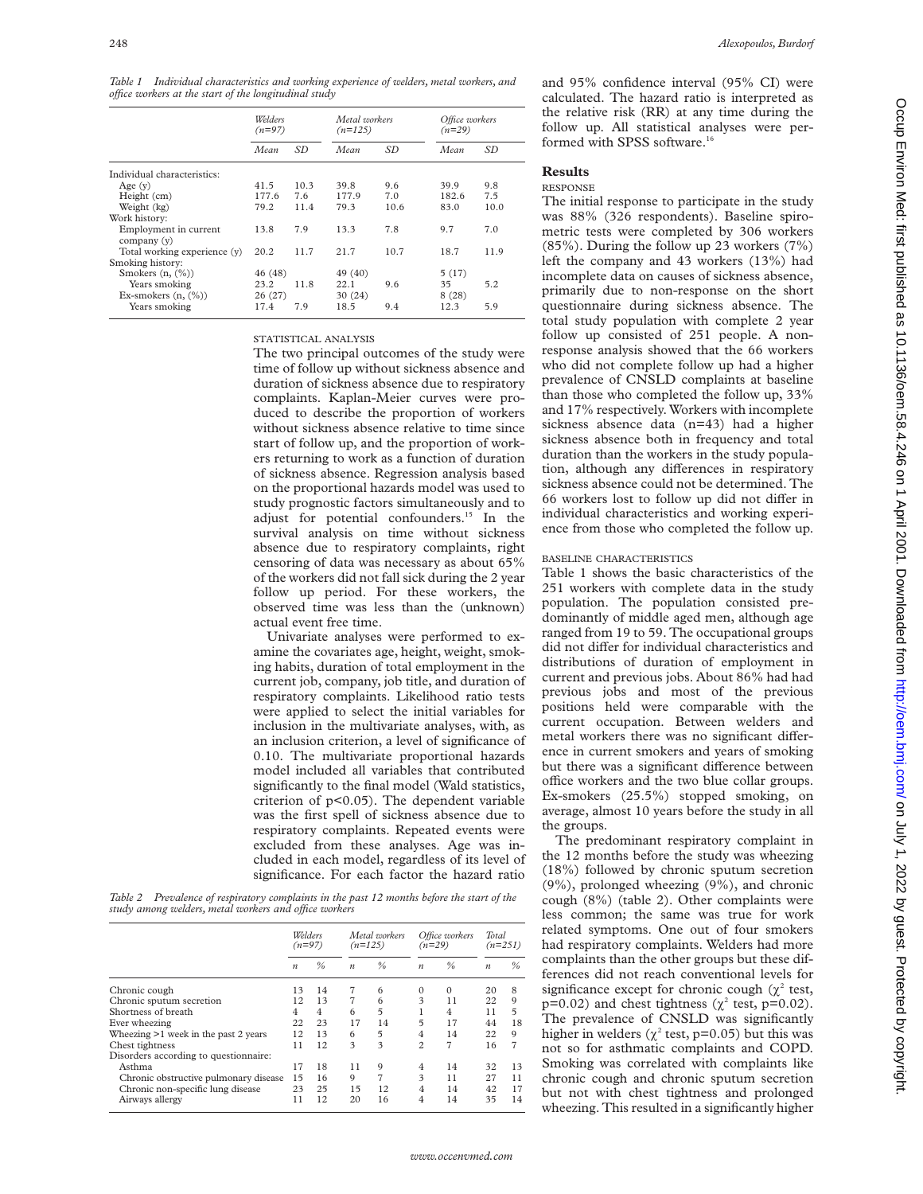*Table 1 Individual characteristics and working experience of welders, metal workers, and oYce workers at the start of the longitudinal study*

|                                      | Welders<br>$(n=97)$ |      | Metal workers<br>$(n=125)$ |      | Office workers<br>$(n=29)$ |      |  |
|--------------------------------------|---------------------|------|----------------------------|------|----------------------------|------|--|
|                                      | Mean                | SD   | Mean                       | SD   | Mean                       | SD   |  |
| Individual characteristics:          |                     |      |                            |      |                            |      |  |
| Age $(y)$                            | 41.5                | 10.3 | 39.8                       | 9.6  | 39.9                       | 9.8  |  |
| Height (cm)                          | 177.6               | 7.6  | 177.9                      | 7.0  | 182.6                      | 7.5  |  |
| Weight (kg)                          | 79.2                | 11.4 | 79.3                       | 10.6 | 83.0                       | 10.0 |  |
| Work history:                        |                     |      |                            |      |                            |      |  |
| Employment in current<br>company (v) | 13.8                | 7.9  | 13.3                       | 7.8  | 9.7                        | 7.0  |  |
| Total working experience (y)         | 20.2                | 11.7 | 21.7                       | 10.7 | 18.7                       | 11.9 |  |
| Smoking history:                     |                     |      |                            |      |                            |      |  |
| Smokers $(n, (\%)$                   | 46 (48)             |      | 49 (40)                    |      | 5(17)                      |      |  |
| Years smoking                        | 23.2                | 11.8 | 22.1                       | 9.6  | 35                         | 5.2  |  |
| Ex-smokers $(n, (\%)$                | 26(27)              |      | 30(24)                     |      | 8(28)                      |      |  |
| Years smoking                        | 17.4                | 7.9  | 18.5                       | 9.4  | 12.3                       | 5.9  |  |

STATISTICAL ANALYSIS

The two principal outcomes of the study were time of follow up without sickness absence and duration of sickness absence due to respiratory complaints. Kaplan-Meier curves were produced to describe the proportion of workers without sickness absence relative to time since start of follow up, and the proportion of workers returning to work as a function of duration of sickness absence. Regression analysis based on the proportional hazards model was used to study prognostic factors simultaneously and to adjust for potential confounders.<sup>15</sup> In the survival analysis on time without sickness absence due to respiratory complaints, right censoring of data was necessary as about 65% of the workers did not fall sick during the 2 year follow up period. For these workers, the observed time was less than the (unknown) actual event free time.

Univariate analyses were performed to examine the covariates age, height, weight, smoking habits, duration of total employment in the current job, company, job title, and duration of respiratory complaints. Likelihood ratio tests were applied to select the initial variables for inclusion in the multivariate analyses, with, as an inclusion criterion, a level of significance of 0.10. The multivariate proportional hazards model included all variables that contributed significantly to the final model (Wald statistics, criterion of p<0.05). The dependent variable was the first spell of sickness absence due to respiratory complaints. Repeated events were excluded from these analyses. Age was included in each model, regardless of its level of significance. For each factor the hazard ratio

*Table 2 Prevalence of respiratory complaints in the past 12 months before the start of the study among welders, metal workers and oYce workers*

|                                        | Welders<br>$(n=97)$ |               | Metal workers<br>$(n=125)$ |      | Office workers<br>$(n=29)$ |               | <b>Total</b><br>$(n=251)$ |      |
|----------------------------------------|---------------------|---------------|----------------------------|------|----------------------------|---------------|---------------------------|------|
|                                        | $\boldsymbol{n}$    | $\frac{0}{0}$ | $\boldsymbol{n}$           | $\%$ | $\boldsymbol{n}$           | $\frac{0}{0}$ | $\boldsymbol{n}$          | $\%$ |
| Chronic cough                          | 13                  | 14            | 7                          | 6    | $\Omega$                   | $\Omega$      | 20                        | 8    |
| Chronic sputum secretion               | 12                  | 13            | $\overline{7}$             | 6    | 3                          | 11            | 22                        | 9    |
| Shortness of breath                    |                     | 4             | 6                          | 5    |                            | 4             | 11                        | 5    |
| Ever wheezing                          |                     | 23            | 17                         | 14   | 5                          | 17            | 44                        | 18   |
| Wheezing $>1$ week in the past 2 years |                     | 13            | 6                          | 5    | 4                          | 14            | 22                        | 9    |
| Chest tightness                        | 11                  | 12            | 3                          | 3    | $\overline{c}$             | 7             | 16                        | 7    |
| Disorders according to questionnaire:  |                     |               |                            |      |                            |               |                           |      |
| Asthma                                 | 17                  | 18            | 11                         | 9    | 4                          | 14            | 32                        | 13   |
| Chronic obstructive pulmonary disease  | 15                  | 16            | 9                          | 7    | 3                          | 11            | 27                        | 11   |
| Chronic non-specific lung disease      | 23                  | 25            | 15                         | 12   | $\overline{4}$             | 14            | 42                        | 17   |
| Airways allergy                        | 11                  | 12            | 20                         | 16   | $\overline{4}$             | 14            | 35                        | 14   |

and 95% confidence interval (95% CI) were calculated. The hazard ratio is interpreted as the relative risk (RR) at any time during the follow up. All statistical analyses were performed with SPSS software.<sup>16</sup>

## **Results**

## RESPONSE

The initial response to participate in the study was 88% (326 respondents). Baseline spirometric tests were completed by 306 workers (85%). During the follow up 23 workers (7%) left the company and 43 workers (13%) had incomplete data on causes of sickness absence, primarily due to non-response on the short questionnaire during sickness absence. The total study population with complete 2 year follow up consisted of 251 people. A nonresponse analysis showed that the 66 workers who did not complete follow up had a higher prevalence of CNSLD complaints at baseline than those who completed the follow up, 33% and 17% respectively. Workers with incomplete sickness absence data (n=43) had a higher sickness absence both in frequency and total duration than the workers in the study population, although any differences in respiratory sickness absence could not be determined. The 66 workers lost to follow up did not differ in individual characteristics and working experience from those who completed the follow up.

#### BASELINE CHARACTERISTICS

Table 1 shows the basic characteristics of the 251 workers with complete data in the study population. The population consisted predominantly of middle aged men, although age ranged from 19 to 59. The occupational groups did not differ for individual characteristics and distributions of duration of employment in current and previous jobs. About 86% had had previous jobs and most of the previous positions held were comparable with the current occupation. Between welders and metal workers there was no significant difference in current smokers and years of smoking but there was a significant difference between office workers and the two blue collar groups. Ex-smokers (25.5%) stopped smoking, on average, almost 10 years before the study in all the groups.

The predominant respiratory complaint in the 12 months before the study was wheezing (18%) followed by chronic sputum secretion (9%), prolonged wheezing (9%), and chronic cough (8%) (table 2). Other complaints were less common; the same was true for work related symptoms. One out of four smokers had respiratory complaints. Welders had more complaints than the other groups but these differences did not reach conventional levels for significance except for chronic cough  $(\chi^2$  test,  $p=0.02$ ) and chest tightness ( $\chi^2$  test,  $p=0.02$ ). The prevalence of CNSLD was significantly higher in welders ( $\chi^2$  test, p=0.05) but this was not so for asthmatic complaints and COPD. Smoking was correlated with complaints like chronic cough and chronic sputum secretion but not with chest tightness and prolonged wheezing. This resulted in a significantly higher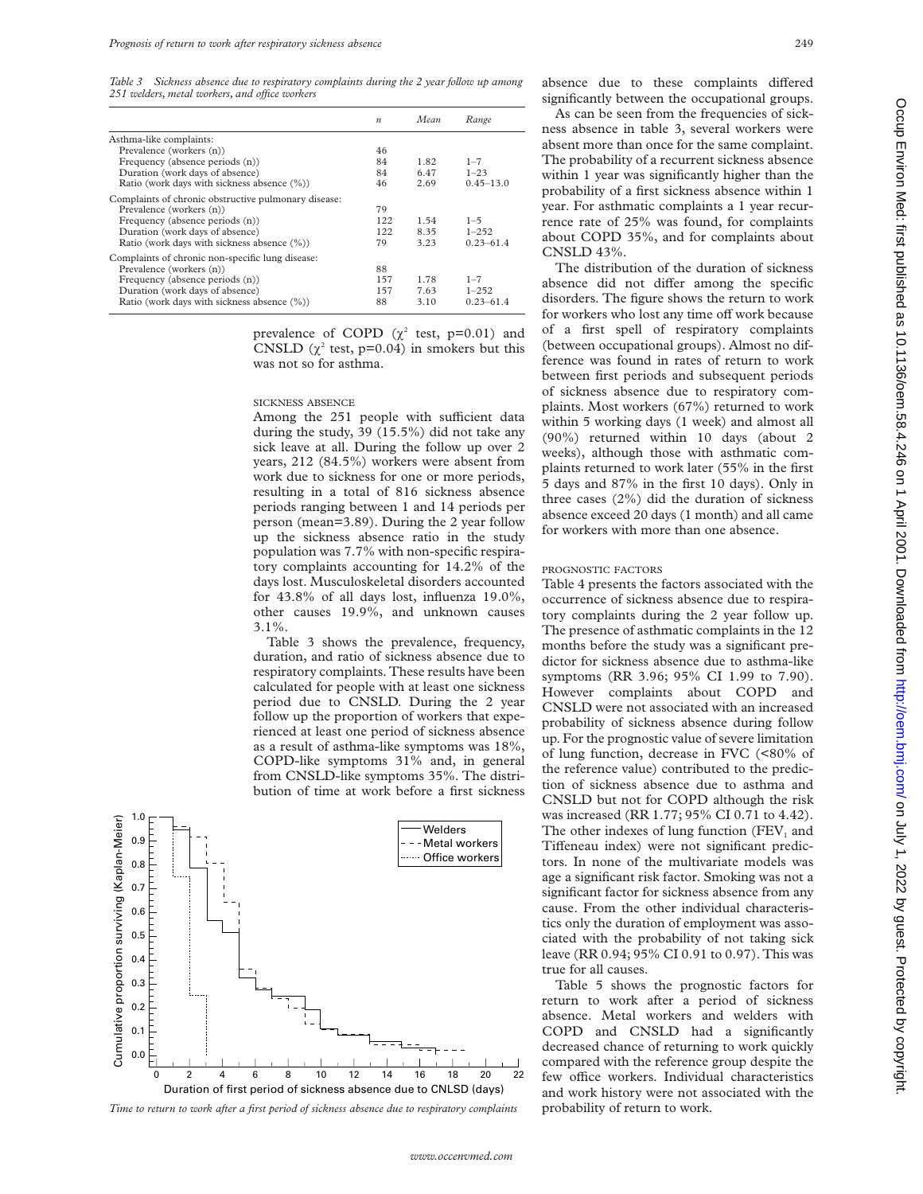*Table 3 Sickness absence due to respiratory complaints during the 2 year follow up among 251 welders, metal workers, and oYce workers*

|                                                      | $\boldsymbol{n}$ | Mean | Range         |
|------------------------------------------------------|------------------|------|---------------|
| Asthma-like complaints:                              |                  |      |               |
| Prevalence (workers (n))                             | 46               |      |               |
| Frequency (absence periods (n))                      | 84               | 1.82 | $1 - 7$       |
| Duration (work days of absence)                      | 84               | 6.47 | $1 - 23$      |
| Ratio (work days with sickness absence $(\%)$ )      | 46               | 2.69 | $0.45 - 13.0$ |
| Complaints of chronic obstructive pulmonary disease: |                  |      |               |
| Prevalence (workers (n))                             | 79               |      |               |
| Frequency (absence periods (n))                      | 122              | 1.54 | $1 - 5$       |
| Duration (work days of absence)                      | 122              | 8.35 | $1 - 252$     |
| Ratio (work days with sickness absence $(\%)$ )      | 79               | 3.23 | $0.23 - 61.4$ |
| Complaints of chronic non-specific lung disease:     |                  |      |               |
| Prevalence (workers (n))                             | 88               |      |               |
| Frequency (absence periods (n))                      | 157              | 1.78 | $1 - 7$       |
| Duration (work days of absence)                      | 157              | 7.63 | $1 - 252$     |
| Ratio (work days with sickness absence $(\%)$ )      | 88               | 3.10 | $0.23 - 61.4$ |

prevalence of COPD ( $\chi^2$  test, p=0.01) and CNSLD  $(\chi^2 \text{ test}, p=0.04)$  in smokers but this was not so for asthma.

## SICKNESS ABSENCE

Among the 251 people with sufficient data during the study, 39 (15.5%) did not take any sick leave at all. During the follow up over 2 years, 212 (84.5%) workers were absent from work due to sickness for one or more periods, resulting in a total of 816 sickness absence periods ranging between 1 and 14 periods per person (mean=3.89). During the 2 year follow up the sickness absence ratio in the study population was 7.7% with non-specific respiratory complaints accounting for 14.2% of the days lost. Musculoskeletal disorders accounted for 43.8% of all days lost, influenza 19.0%, other causes 19.9%, and unknown causes 3.1%.

Table 3 shows the prevalence, frequency, duration, and ratio of sickness absence due to respiratory complaints. These results have been calculated for people with at least one sickness period due to CNSLD. During the 2 year follow up the proportion of workers that experienced at least one period of sickness absence as a result of asthma-like symptoms was 18%, COPD-like symptoms 31% and, in general from CNSLD-like symptoms 35%. The distribution of time at work before a first sickness



*Time to return to work after a first period of sickness absence due to respiratory complaints*

absence due to these complaints differed significantly between the occupational groups.

As can be seen from the frequencies of sickness absence in table 3, several workers were absent more than once for the same complaint. The probability of a recurrent sickness absence within 1 year was significantly higher than the probability of a first sickness absence within 1 year. For asthmatic complaints a 1 year recurrence rate of 25% was found, for complaints about COPD 35%, and for complaints about CNSLD 43%.

The distribution of the duration of sickness absence did not differ among the specific disorders. The figure shows the return to work for workers who lost any time off work because of a first spell of respiratory complaints (between occupational groups). Almost no difference was found in rates of return to work between first periods and subsequent periods of sickness absence due to respiratory complaints. Most workers (67%) returned to work within 5 working days (1 week) and almost all (90%) returned within 10 days (about 2 weeks), although those with asthmatic complaints returned to work later (55% in the first 5 days and 87% in the first 10 days). Only in three cases (2%) did the duration of sickness absence exceed 20 days (1 month) and all came for workers with more than one absence.

#### PROGNOSTIC FACTORS

Table 4 presents the factors associated with the occurrence of sickness absence due to respiratory complaints during the 2 year follow up. The presence of asthmatic complaints in the 12 months before the study was a significant predictor for sickness absence due to asthma-like symptoms (RR 3.96; 95% CI 1.99 to 7.90). However complaints about COPD and CNSLD were not associated with an increased probability of sickness absence during follow up. For the prognostic value of severe limitation of lung function, decrease in FVC (<80% of the reference value) contributed to the prediction of sickness absence due to asthma and CNSLD but not for COPD although the risk was increased (RR 1.77; 95% CI 0.71 to 4.42). The other indexes of lung function (FEV<sub>1</sub> and Tiffeneau index) were not significant predictors. In none of the multivariate models was age a significant risk factor. Smoking was not a significant factor for sickness absence from any cause. From the other individual characteristics only the duration of employment was associated with the probability of not taking sick leave (RR 0.94; 95% CI 0.91 to 0.97). This was true for all causes.

Table 5 shows the prognostic factors for return to work after a period of sickness absence. Metal workers and welders with COPD and CNSLD had a significantly decreased chance of returning to work quickly compared with the reference group despite the few office workers. Individual characteristics and work history were not associated with the probability of return to work.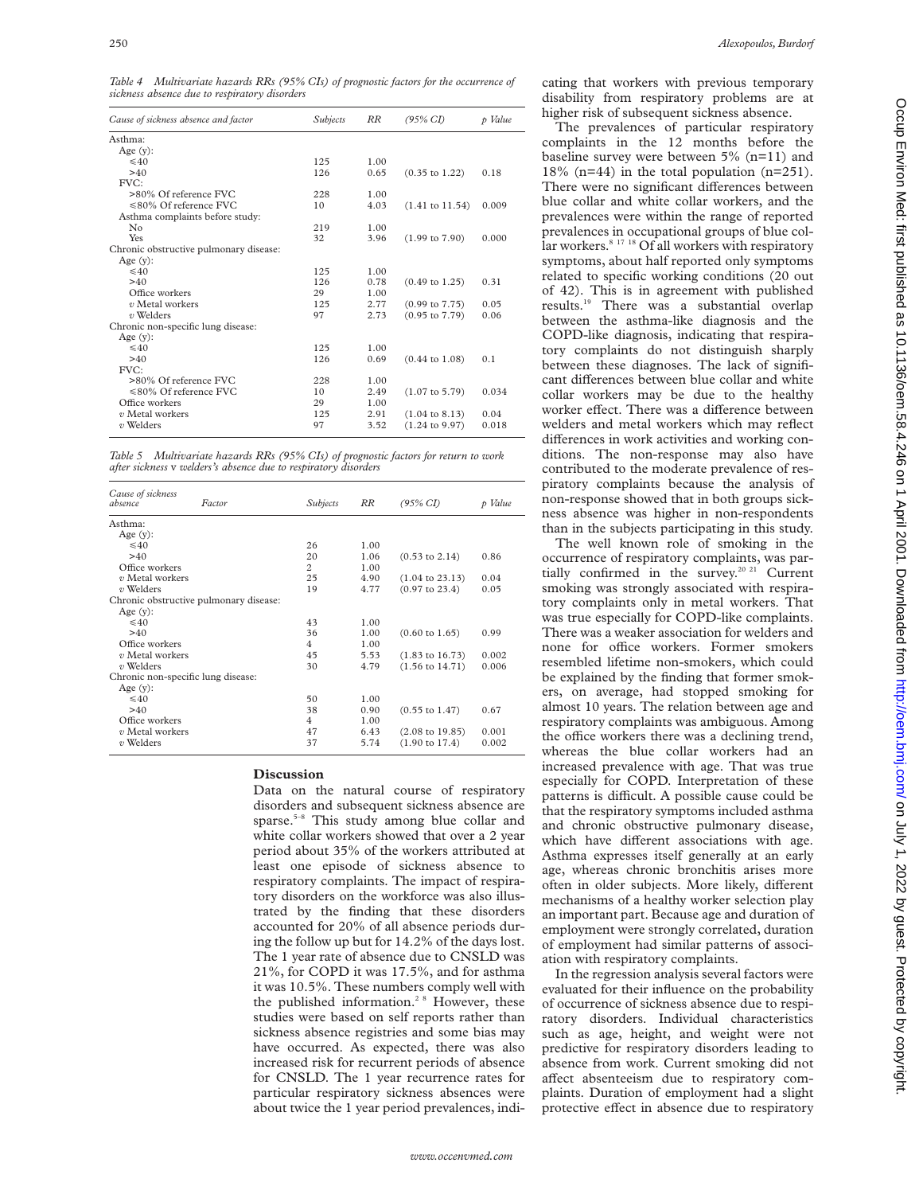*Table 4 Multivariate hazards RRs (95% CIs) of prognostic factors for the occurrence of sickness absence due to respiratory disorders*

| Cause of sickness absence and factor   | Subjects | RR   | $(95\% \text{ CI})$        | p Value |
|----------------------------------------|----------|------|----------------------------|---------|
| Asthma:                                |          |      |                            |         |
| Age $(v)$ :                            |          |      |                            |         |
| $\leq 40$                              | 125      | 1.00 |                            |         |
| >40                                    | 126      | 0.65 | $(0.35 \text{ to } 1.22)$  | 0.18    |
| FVC:                                   |          |      |                            |         |
| >80% Of reference FVC                  | 228      | 1.00 |                            |         |
| $\leq 80\%$ Of reference FVC           | 10       | 4.03 | $(1.41 \text{ to } 11.54)$ | 0.009   |
| Asthma complaints before study:        |          |      |                            |         |
| No                                     | 219      | 1.00 |                            |         |
| <b>Yes</b>                             | 32       | 3.96 | $(1.99 \text{ to } 7.90)$  | 0.000   |
| Chronic obstructive pulmonary disease: |          |      |                            |         |
| Age $(v)$ :                            |          |      |                            |         |
| $\leq 40$                              | 125      | 1.00 |                            |         |
| >40                                    | 126      | 0.78 | $(0.49 \text{ to } 1.25)$  | 0.31    |
| Office workers                         | 29       | 1.00 |                            |         |
| $v$ Metal workers                      | 125      | 2.77 | $(0.99 \text{ to } 7.75)$  | 0.05    |
| $v$ Welders                            | 97       | 2.73 | $(0.95 \text{ to } 7.79)$  | 0.06    |
| Chronic non-specific lung disease:     |          |      |                            |         |
| Age $(y)$ :                            |          |      |                            |         |
| $\leq 40$                              | 125      | 1.00 |                            |         |
| >40                                    | 126      | 0.69 | $(0.44 \text{ to } 1.08)$  | 0.1     |
| FVC:                                   |          |      |                            |         |
| >80% Of reference FVC                  | 228      | 1.00 |                            |         |
| $\leq 80\%$ Of reference FVC           | 10       | 2.49 | $(1.07 \text{ to } 5.79)$  | 0.034   |
| Office workers                         | 29       | 1.00 |                            |         |
| $v$ Metal workers                      | 125      | 2.91 | $(1.04 \text{ to } 8.13)$  | 0.04    |
| $v$ Welders                            | 97       | 3.52 | $(1.24 \text{ to } 9.97)$  | 0.018   |

|  |  |  |  | Table 5 Multivariate hazards RRs (95% CIs) of prognostic factors for return to work |  |  |  |
|--|--|--|--|-------------------------------------------------------------------------------------|--|--|--|
|  |  |  |  | after sickness v welders's absence due to respiratory disorders                     |  |  |  |

| Cause of sickness |                                        |                |      |                            |         |  |  |
|-------------------|----------------------------------------|----------------|------|----------------------------|---------|--|--|
| absence           | Factor                                 | Subjects       | RR   | $(95\% \text{ CI})$        | p Value |  |  |
| Asthma:           |                                        |                |      |                            |         |  |  |
| Age $(y)$ :       |                                        |                |      |                            |         |  |  |
| $\leq 40$         |                                        | 26             | 1.00 |                            |         |  |  |
| >40               |                                        | 20             | 1.06 | $(0.53 \text{ to } 2.14)$  | 0.86    |  |  |
| Office workers    |                                        | $\overline{c}$ | 1.00 |                            |         |  |  |
| $v$ Metal workers |                                        | 25             | 4.90 | $(1.04 \text{ to } 23.13)$ | 0.04    |  |  |
| $v$ Welders       |                                        | 19             | 4.77 | $(0.97 \text{ to } 23.4)$  | 0.05    |  |  |
|                   | Chronic obstructive pulmonary disease: |                |      |                            |         |  |  |
| Age $(y)$ :       |                                        |                |      |                            |         |  |  |
| $\leq 40$         |                                        | 43             | 1.00 |                            |         |  |  |
| >40               |                                        | 36             | 1.00 | $(0.60 \text{ to } 1.65)$  | 0.99    |  |  |
| Office workers    |                                        | $\overline{4}$ | 1.00 |                            |         |  |  |
| $v$ Metal workers |                                        | 45             | 5.53 | $(1.83 \text{ to } 16.73)$ | 0.002   |  |  |
| $v$ Welders       |                                        | 30             | 4.79 | $(1.56 \text{ to } 14.71)$ | 0.006   |  |  |
|                   | Chronic non-specific lung disease:     |                |      |                            |         |  |  |
| Age $(y)$ :       |                                        |                |      |                            |         |  |  |
| $\leq 40$         |                                        | 50             | 1.00 |                            |         |  |  |
| >40               |                                        | 38             | 0.90 | $(0.55 \text{ to } 1.47)$  | 0.67    |  |  |
| Office workers    | $\overline{4}$                         | 1.00           |      |                            |         |  |  |
| $v$ Metal workers |                                        | 47             | 6.43 | $(2.08 \text{ to } 19.85)$ | 0.001   |  |  |
| $v$ Welders       |                                        | 37             | 5.74 | $(1.90 \text{ to } 17.4)$  | 0.002   |  |  |

#### **Discussion**

Data on the natural course of respiratory disorders and subsequent sickness absence are sparse.<sup>5-8</sup> This study among blue collar and white collar workers showed that over a 2 year period about 35% of the workers attributed at least one episode of sickness absence to respiratory complaints. The impact of respiratory disorders on the workforce was also illustrated by the finding that these disorders accounted for 20% of all absence periods during the follow up but for 14.2% of the days lost. The 1 year rate of absence due to CNSLD was 21%, for COPD it was 17.5%, and for asthma it was 10.5%. These numbers comply well with the published information.<sup>2 8</sup> However, these studies were based on self reports rather than sickness absence registries and some bias may have occurred. As expected, there was also increased risk for recurrent periods of absence for CNSLD. The 1 year recurrence rates for particular respiratory sickness absences were about twice the 1 year period prevalences, indicating that workers with previous temporary disability from respiratory problems are at higher risk of subsequent sickness absence.

The prevalences of particular respiratory complaints in the 12 months before the baseline survey were between 5% (n=11) and 18% (n=44) in the total population (n=251). There were no significant differences between blue collar and white collar workers, and the prevalences were within the range of reported prevalences in occupational groups of blue collar workers.<sup>8 17 18</sup> Of all workers with respiratory symptoms, about half reported only symptoms related to specific working conditions (20 out of 42). This is in agreement with published results.19 There was a substantial overlap between the asthma-like diagnosis and the COPD-like diagnosis, indicating that respiratory complaints do not distinguish sharply between these diagnoses. The lack of significant differences between blue collar and white collar workers may be due to the healthy worker effect. There was a difference between welders and metal workers which may reflect differences in work activities and working conditions. The non-response may also have contributed to the moderate prevalence of respiratory complaints because the analysis of non-response showed that in both groups sickness absence was higher in non-respondents than in the subjects participating in this study.

The well known role of smoking in the occurrence of respiratory complaints, was partially confirmed in the survey.<sup>20 21</sup> Current smoking was strongly associated with respiratory complaints only in metal workers. That was true especially for COPD-like complaints. There was a weaker association for welders and none for office workers. Former smokers resembled lifetime non-smokers, which could be explained by the finding that former smokers, on average, had stopped smoking for almost 10 years. The relation between age and respiratory complaints was ambiguous. Among the office workers there was a declining trend, whereas the blue collar workers had an increased prevalence with age. That was true especially for COPD. Interpretation of these patterns is difficult. A possible cause could be that the respiratory symptoms included asthma and chronic obstructive pulmonary disease, which have different associations with age. Asthma expresses itself generally at an early age, whereas chronic bronchitis arises more often in older subjects. More likely, different mechanisms of a healthy worker selection play an important part. Because age and duration of employment were strongly correlated, duration of employment had similar patterns of association with respiratory complaints.

In the regression analysis several factors were evaluated for their influence on the probability of occurrence of sickness absence due to respiratory disorders. Individual characteristics such as age, height, and weight were not predictive for respiratory disorders leading to absence from work. Current smoking did not affect absenteeism due to respiratory complaints. Duration of employment had a slight protective effect in absence due to respiratory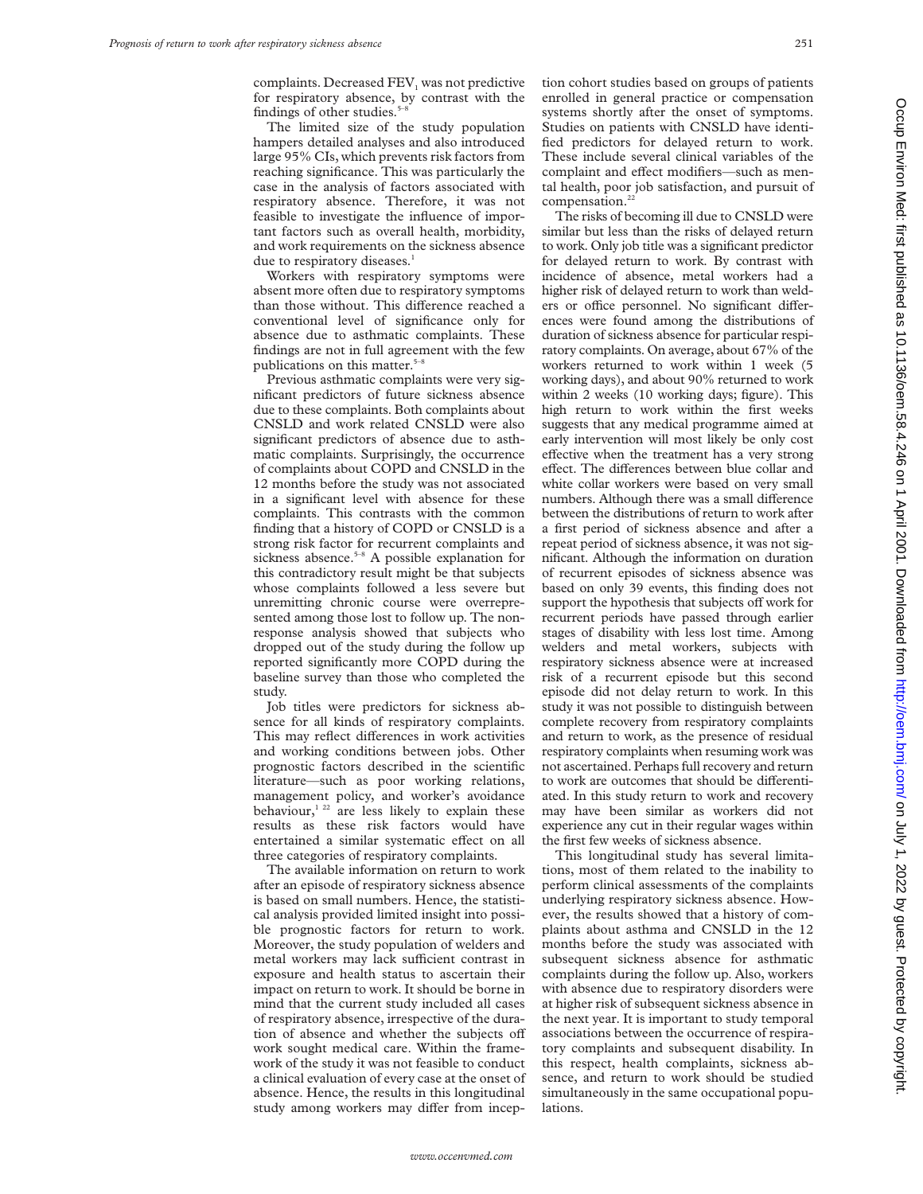complaints. Decreased FEV<sub>1</sub> was not predictive for respiratory absence, by contrast with the findings of other studies. $5-4$ 

The limited size of the study population hampers detailed analyses and also introduced large 95% CIs, which prevents risk factors from reaching significance. This was particularly the case in the analysis of factors associated with respiratory absence. Therefore, it was not feasible to investigate the influence of important factors such as overall health, morbidity, and work requirements on the sickness absence due to respiratory diseases.<sup>1</sup>

Workers with respiratory symptoms were absent more often due to respiratory symptoms than those without. This difference reached a conventional level of significance only for absence due to asthmatic complaints. These findings are not in full agreement with the few publications on this matter.<sup>5-8</sup>

Previous asthmatic complaints were very significant predictors of future sickness absence due to these complaints. Both complaints about CNSLD and work related CNSLD were also significant predictors of absence due to asthmatic complaints. Surprisingly, the occurrence of complaints about COPD and CNSLD in the 12 months before the study was not associated in a significant level with absence for these complaints. This contrasts with the common finding that a history of COPD or CNSLD is a strong risk factor for recurrent complaints and sickness absence.<sup>5-8</sup> A possible explanation for this contradictory result might be that subjects whose complaints followed a less severe but unremitting chronic course were overrepresented among those lost to follow up. The nonresponse analysis showed that subjects who dropped out of the study during the follow up reported significantly more COPD during the baseline survey than those who completed the study.

Job titles were predictors for sickness absence for all kinds of respiratory complaints. This may reflect differences in work activities and working conditions between jobs. Other prognostic factors described in the scientific literature—such as poor working relations, management policy, and worker's avoidance behaviour,<sup>122</sup> are less likely to explain these results as these risk factors would have entertained a similar systematic effect on all three categories of respiratory complaints.

The available information on return to work after an episode of respiratory sickness absence is based on small numbers. Hence, the statistical analysis provided limited insight into possible prognostic factors for return to work. Moreover, the study population of welders and metal workers may lack sufficient contrast in exposure and health status to ascertain their impact on return to work. It should be borne in mind that the current study included all cases of respiratory absence, irrespective of the duration of absence and whether the subjects off work sought medical care. Within the framework of the study it was not feasible to conduct a clinical evaluation of every case at the onset of absence. Hence, the results in this longitudinal study among workers may differ from incep-

tion cohort studies based on groups of patients enrolled in general practice or compensation systems shortly after the onset of symptoms. Studies on patients with CNSLD have identified predictors for delayed return to work. These include several clinical variables of the complaint and effect modifiers—such as mental health, poor job satisfaction, and pursuit of compensation.<sup>22</sup>

The risks of becoming ill due to CNSLD were similar but less than the risks of delayed return to work. Only job title was a significant predictor for delayed return to work. By contrast with incidence of absence, metal workers had a higher risk of delayed return to work than welders or office personnel. No significant differences were found among the distributions of duration of sickness absence for particular respiratory complaints. On average, about 67% of the workers returned to work within 1 week (5 working days), and about 90% returned to work within 2 weeks (10 working days; figure). This high return to work within the first weeks suggests that any medical programme aimed at early intervention will most likely be only cost effective when the treatment has a very strong effect. The differences between blue collar and white collar workers were based on very small numbers. Although there was a small difference between the distributions of return to work after a first period of sickness absence and after a repeat period of sickness absence, it was not significant. Although the information on duration of recurrent episodes of sickness absence was based on only 39 events, this finding does not support the hypothesis that subjects off work for recurrent periods have passed through earlier stages of disability with less lost time. Among welders and metal workers, subjects with respiratory sickness absence were at increased risk of a recurrent episode but this second episode did not delay return to work. In this study it was not possible to distinguish between complete recovery from respiratory complaints and return to work, as the presence of residual respiratory complaints when resuming work was not ascertained. Perhaps full recovery and return to work are outcomes that should be differentiated. In this study return to work and recovery may have been similar as workers did not experience any cut in their regular wages within the first few weeks of sickness absence.

This longitudinal study has several limitations, most of them related to the inability to perform clinical assessments of the complaints underlying respiratory sickness absence. However, the results showed that a history of complaints about asthma and CNSLD in the 12 months before the study was associated with subsequent sickness absence for asthmatic complaints during the follow up. Also, workers with absence due to respiratory disorders were at higher risk of subsequent sickness absence in the next year. It is important to study temporal associations between the occurrence of respiratory complaints and subsequent disability. In this respect, health complaints, sickness absence, and return to work should be studied simultaneously in the same occupational populations.